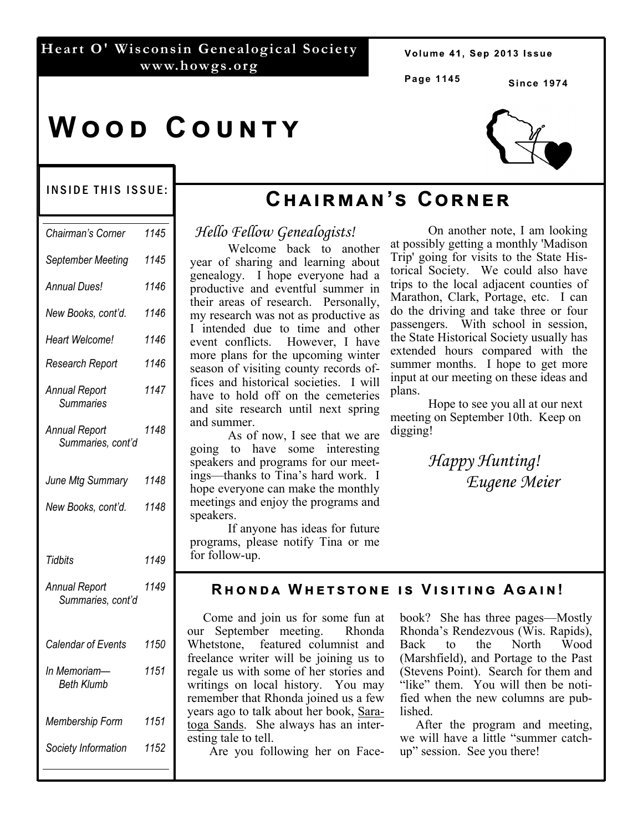## **Heart O' Wisconsin Genealogical Society www.howgs.org**

Volume 41, Sep 2013 Issue

**Page 1145**

**Since 1974** 

## WOOD COUNTY



## INSIDE THIS ISSUE:

| Chairman's Corner                         | 1145 |
|-------------------------------------------|------|
| September Meeting                         | 1145 |
| Annual Dues!                              | 1146 |
| New Books, cont'd.                        | 1146 |
| Heart Welcome!                            | 1146 |
| Research Report                           | 1146 |
| <b>Annual Report</b><br><b>Summaries</b>  | 1147 |
| <b>Annual Report</b><br>Summaries, cont'd | 1148 |
| June Mtg Summary                          | 1148 |
| New Books, cont'd.                        | 1148 |
| Tidbits                                   | 1149 |
| <b>Annual Report</b><br>Summaries, cont'd | 1149 |
| Calendar of Events                        | 1150 |
| In Memoriam-<br><b>Beth Klumb</b>         | 1151 |
| Membership Form                           | 1151 |
| Society Information                       | 1152 |

# **Cඐඉඑකඕඉඖ'ඛ Cකඖඍක**

*Hello Fellow Genealogists!* 

Welcome back to another year of sharing and learning about genealogy. I hope everyone had a productive and eventful summer in their areas of research. Personally, my research was not as productive as I intended due to time and other event conflicts. However, I have more plans for the upcoming winter season of visiting county records offices and historical societies. I will have to hold off on the cemeteries and site research until next spring and summer.

As of now, I see that we are going to have some interesting speakers and programs for our meetings—thanks to Tina's hard work. I hope everyone can make the monthly meetings and enjoy the programs and speakers.

If anyone has ideas for future programs, please notify Tina or me for follow-up.

On another note, I am looking at possibly getting a monthly 'Madison Trip' going for visits to the State Historical Society. We could also have trips to the local adjacent counties of Marathon, Clark, Portage, etc. I can do the driving and take three or four passengers. With school in session, the State Historical Society usually has extended hours compared with the summer months. I hope to get more input at our meeting on these ideas and plans.

Hope to see you all at our next meeting on September 10th. Keep on digging!

> *Happy Hunting! Eugene Meier*

## **RHONDA WHETSTONE IS VISITING AGAIN!**

 Come and join us for some fun at our September meeting. Rhonda Whetstone, featured columnist and freelance writer will be joining us to regale us with some of her stories and writings on local history. You may remember that Rhonda joined us a few years ago to talk about her book, Saratoga Sands. She always has an interesting tale to tell.

Are you following her on Face-

book? She has three pages—Mostly Rhonda's Rendezvous (Wis. Rapids), Back to the North Wood (Marshfield), and Portage to the Past (Stevens Point). Search for them and "like" them. You will then be notified when the new columns are published.

 After the program and meeting, we will have a little "summer catchup" session. See you there!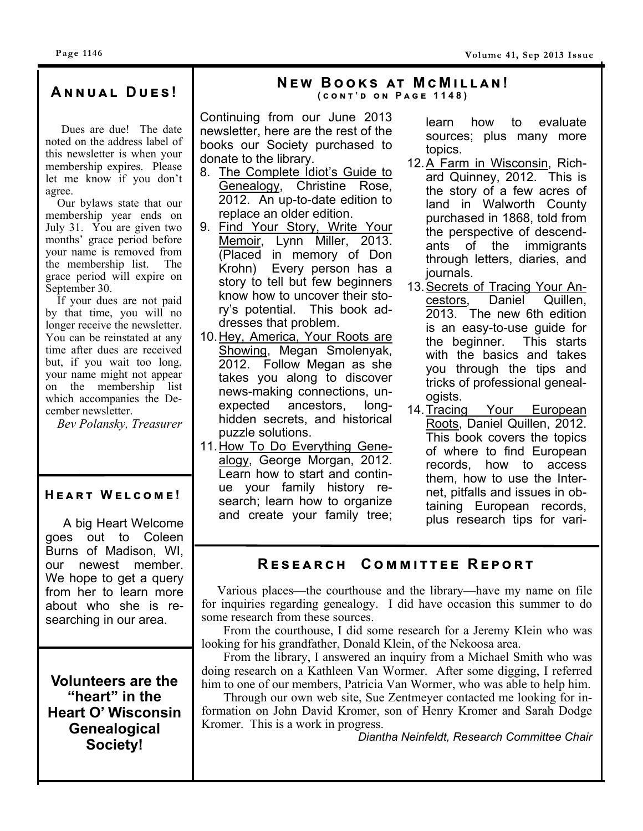Dues are due! The date noted on the address label of this newsletter is when your membership expires. Please let me know if you don't agree.

 Our bylaws state that our membership year ends on July 31. You are given two months' grace period before your name is removed from the membership list. The grace period will expire on September 30.

 If your dues are not paid by that time, you will no longer receive the newsletter. You can be reinstated at any time after dues are received but, if you wait too long, your name might not appear on the membership list which accompanies the December newsletter.

*Bev Polansky, Treasurer* 

## $HEART WELCOME!$

 A big Heart Welcome goes out to Coleen Burns of Madison, WI, our newest member. We hope to get a query from her to learn more about who she is researching in our area.

**Volunteers are the "heart" in the Heart O' Wisconsin Genealogical Society!** 

## **<sup>N</sup> ඍ ඟ<sup>B</sup> ඓඛ ඉග<sup>M</sup> <sup>උ</sup> <sup>M</sup> එඔඔඉඖ ! A ඖඖඝඉඔ<sup>D</sup> ඝඍඛ ! ( උඖග ' <sup>ඌ</sup> ඖ<sup>P</sup> ඉඏඍ 1148)**

Continuing from our June 2013 newsletter, here are the rest of the books our Society purchased to donate to the library.

- 8. The Complete Idiot's Guide to Genealogy, Christine Rose, 2012. An up-to-date edition to replace an older edition.
- 9. Find Your Story, Write Your Memoir, Lynn Miller, 2013. (Placed in memory of Don Krohn) Every person has a story to tell but few beginners know how to uncover their story's potential. This book addresses that problem.
- 10. Hey, America, Your Roots are Showing, Megan Smolenyak, 2012. Follow Megan as she takes you along to discover news-making connections, unexpected ancestors, longhidden secrets, and historical puzzle solutions.
- 11. How To Do Everything Genealogy, George Morgan, 2012. Learn how to start and continue your family history research; learn how to organize and create your family tree;

learn how to evaluate sources; plus many more topics.

- 12. A Farm in Wisconsin, Richard Quinney, 2012. This is the story of a few acres of land in Walworth County purchased in 1868, told from the perspective of descendants of the immigrants through letters, diaries, and journals.
- 13. Secrets of Tracing Your Ancestors, Daniel Quillen, 2013. The new 6th edition is an easy-to-use guide for the beginner. This starts with the basics and takes you through the tips and tricks of professional genealogists.
- 14. Tracing Your European Roots, Daniel Quillen, 2012. This book covers the topics of where to find European records, how to access them, how to use the Internet, pitfalls and issues in obtaining European records, plus research tips for vari-

## $R$  **ESEARCH** COMMITTEE REPORT

 Various places—the courthouse and the library—have my name on file for inquiries regarding genealogy. I did have occasion this summer to do some research from these sources.

 From the courthouse, I did some research for a Jeremy Klein who was looking for his grandfather, Donald Klein, of the Nekoosa area.

 From the library, I answered an inquiry from a Michael Smith who was doing research on a Kathleen Van Wormer. After some digging, I referred him to one of our members, Patricia Van Wormer, who was able to help him.

 Through our own web site, Sue Zentmeyer contacted me looking for information on John David Kromer, son of Henry Kromer and Sarah Dodge Kromer. This is a work in progress.

*Diantha Neinfeldt, Research Committee Chair*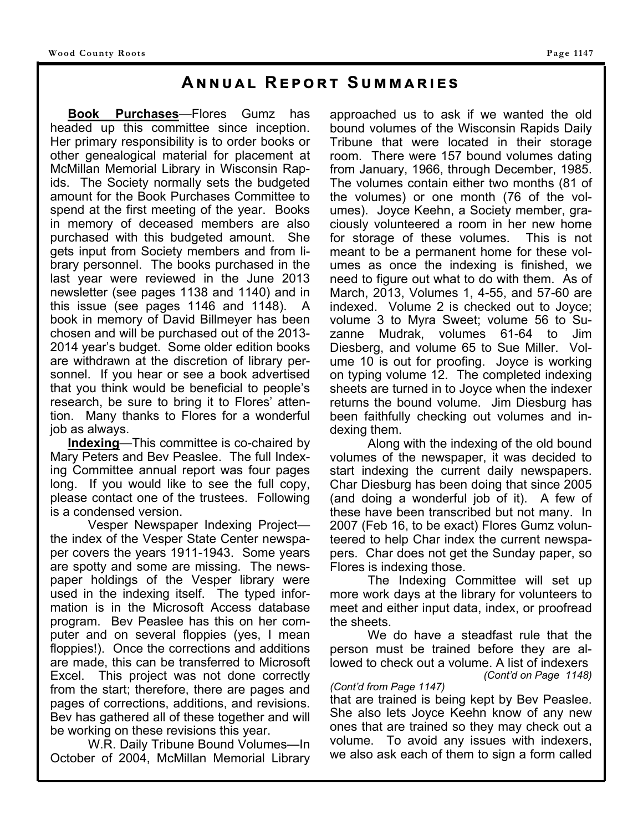## **ANNUAL REPORT SUMMARIES**

**Book Purchases**—Flores Gumz has headed up this committee since inception. Her primary responsibility is to order books or other genealogical material for placement at McMillan Memorial Library in Wisconsin Rapids. The Society normally sets the budgeted amount for the Book Purchases Committee to spend at the first meeting of the year. Books in memory of deceased members are also purchased with this budgeted amount. She gets input from Society members and from library personnel. The books purchased in the last year were reviewed in the June 2013 newsletter (see pages 1138 and 1140) and in this issue (see pages 1146 and 1148). A book in memory of David Billmeyer has been chosen and will be purchased out of the 2013- 2014 year's budget. Some older edition books are withdrawn at the discretion of library personnel. If you hear or see a book advertised that you think would be beneficial to people's research, be sure to bring it to Flores' attention. Many thanks to Flores for a wonderful job as always.

 **Indexing**—This committee is co-chaired by Mary Peters and Bev Peaslee. The full Indexing Committee annual report was four pages long. If you would like to see the full copy, please contact one of the trustees. Following is a condensed version.

 Vesper Newspaper Indexing Project the index of the Vesper State Center newspaper covers the years 1911-1943. Some years are spotty and some are missing. The newspaper holdings of the Vesper library were used in the indexing itself. The typed information is in the Microsoft Access database program. Bev Peaslee has this on her computer and on several floppies (yes, I mean floppies!). Once the corrections and additions are made, this can be transferred to Microsoft Excel. This project was not done correctly from the start; therefore, there are pages and pages of corrections, additions, and revisions. Bev has gathered all of these together and will be working on these revisions this year.

 W.R. Daily Tribune Bound Volumes—In October of 2004, McMillan Memorial Library approached us to ask if we wanted the old bound volumes of the Wisconsin Rapids Daily Tribune that were located in their storage room. There were 157 bound volumes dating from January, 1966, through December, 1985. The volumes contain either two months (81 of the volumes) or one month (76 of the volumes). Joyce Keehn, a Society member, graciously volunteered a room in her new home for storage of these volumes. This is not meant to be a permanent home for these volumes as once the indexing is finished, we need to figure out what to do with them. As of March, 2013, Volumes 1, 4-55, and 57-60 are indexed. Volume 2 is checked out to Joyce; volume 3 to Myra Sweet; volume 56 to Suzanne Mudrak, volumes 61-64 to Jim Diesberg, and volume 65 to Sue Miller. Volume 10 is out for proofing. Joyce is working on typing volume 12. The completed indexing sheets are turned in to Joyce when the indexer returns the bound volume. Jim Diesburg has been faithfully checking out volumes and indexing them.

 Along with the indexing of the old bound volumes of the newspaper, it was decided to start indexing the current daily newspapers. Char Diesburg has been doing that since 2005 (and doing a wonderful job of it). A few of these have been transcribed but not many. In 2007 (Feb 16, to be exact) Flores Gumz volunteered to help Char index the current newspapers. Char does not get the Sunday paper, so Flores is indexing those.

 The Indexing Committee will set up more work days at the library for volunteers to meet and either input data, index, or proofread the sheets.

 We do have a steadfast rule that the person must be trained before they are allowed to check out a volume. A list of indexers *(Cont'd on Page 1148)* 

### *(Cont'd from Page 1147)*

that are trained is being kept by Bev Peaslee. She also lets Joyce Keehn know of any new ones that are trained so they may check out a volume. To avoid any issues with indexers, we also ask each of them to sign a form called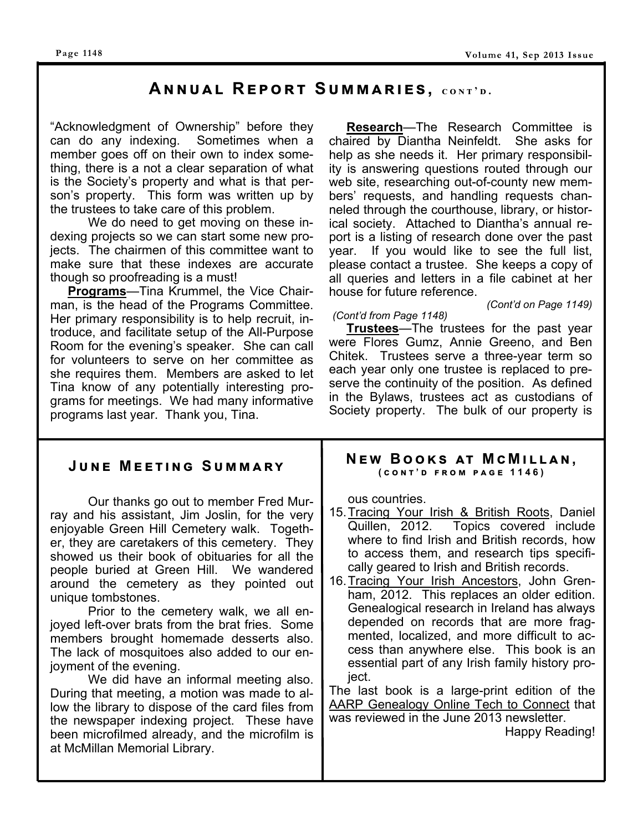#### **Page 1148**

## $A$ **NNUAL REPORT SUMMARIES, CONT'D.**

"Acknowledgment of Ownership" before they can do any indexing. Sometimes when a member goes off on their own to index something, there is a not a clear separation of what is the Society's property and what is that person's property. This form was written up by the trustees to take care of this problem.

We do need to get moving on these indexing projects so we can start some new projects. The chairmen of this committee want to make sure that these indexes are accurate though so proofreading is a must!

 **Programs**—Tina Krummel, the Vice Chairman, is the head of the Programs Committee. Her primary responsibility is to help recruit, introduce, and facilitate setup of the All-Purpose Room for the evening's speaker. She can call for volunteers to serve on her committee as she requires them. Members are asked to let Tina know of any potentially interesting programs for meetings. We had many informative programs last year. Thank you, Tina.

 **Research**—The Research Committee is chaired by Diantha Neinfeldt. She asks for help as she needs it. Her primary responsibility is answering questions routed through our web site, researching out-of-county new members' requests, and handling requests channeled through the courthouse, library, or historical society. Attached to Diantha's annual report is a listing of research done over the past year. If you would like to see the full list, please contact a trustee. She keeps a copy of all queries and letters in a file cabinet at her house for future reference.

#### *(Cont'd on Page 1149)*

#### *(Cont'd from Page 1148)*

 **Trustees**—The trustees for the past year were Flores Gumz, Annie Greeno, and Ben Chitek. Trustees serve a three-year term so each year only one trustee is replaced to preserve the continuity of the position. As defined in the Bylaws, trustees act as custodians of Society property. The bulk of our property is

#### $J$ **UNE MEETING SUMMARY**  Our thanks go out to member Fred Murray and his assistant, Jim Joslin, for the very enjoyable Green Hill Cemetery walk. Together, they are caretakers of this cemetery. They showed us their book of obituaries for all the people buried at Green Hill. We wandered around the cemetery as they pointed out unique tombstones. Prior to the cemetery walk, we all enjoyed left-over brats from the brat fries. Some members brought homemade desserts also. The lack of mosquitoes also added to our enjoyment of the evening. We did have an informal meeting also. During that meeting, a motion was made to allow the library to dispose of the card files from the newspaper indexing project. These have been microfilmed already, and the microfilm is at McMillan Memorial Library. ous countries. 15. Tracing Your Irish & British Roots, Daniel<br>Quillen, 2012. Topics covered include Topics covered include where to find Irish and British records, how to access them, and research tips specifically geared to Irish and British records. 16. Tracing Your Irish Ancestors, John Grenham, 2012. This replaces an older edition. Genealogical research in Ireland has always depended on records that are more fragmented, localized, and more difficult to access than anywhere else. This book is an essential part of any Irish family history project. The last book is a large-print edition of the AARP Genealogy Online Tech to Connect that was reviewed in the June 2013 newsletter. Happy Reading! **NEW BOOKS AT MCMILLAN,**<br>(
CONT'D FROM PAGE 1146)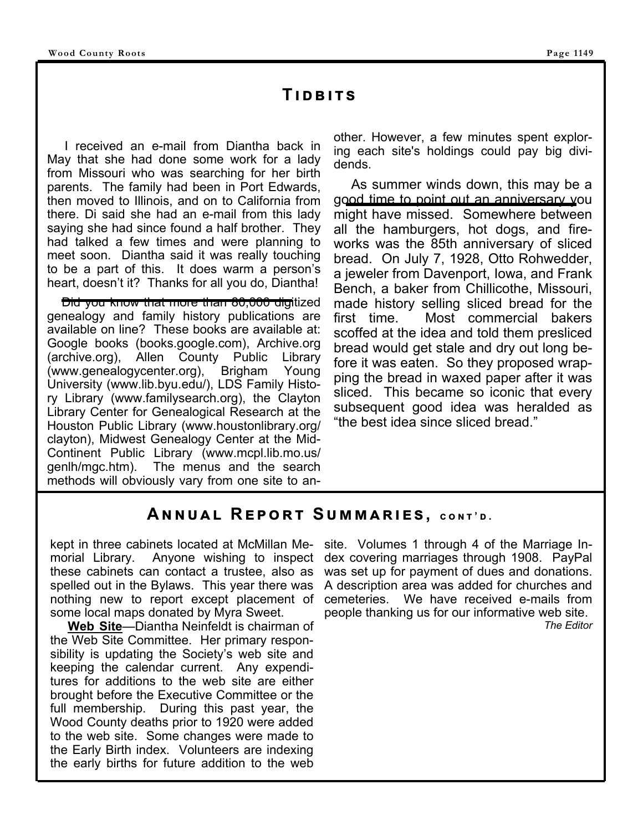## **TIDBITS**

 I received an e-mail from Diantha back in May that she had done some work for a lady from Missouri who was searching for her birth parents. The family had been in Port Edwards, then moved to Illinois, and on to California from there. Di said she had an e-mail from this lady saying she had since found a half brother. They had talked a few times and were planning to meet soon. Diantha said it was really touching to be a part of this. It does warm a person's heart, doesn't it? Thanks for all you do, Diantha!

 Did you know that more than 80,000 digitized genealogy and family history publications are available on line? These books are available at: Google books (books.google.com), Archive.org (archive.org), Allen County Public Library (www.genealogycenter.org), Brigham Young University (www.lib.byu.edu/), LDS Family History Library (www.familysearch.org), the Clayton Library Center for Genealogical Research at the Houston Public Library (www.houstonlibrary.org/ clayton), Midwest Genealogy Center at the Mid-Continent Public Library (www.mcpl.lib.mo.us/ genlh/mgc.htm). The menus and the search methods will obviously vary from one site to an-

other. However, a few minutes spent exploring each site's holdings could pay big dividends.

 As summer winds down, this may be a good time to point out an anniversary you might have missed. Somewhere between all the hamburgers, hot dogs, and fireworks was the 85th anniversary of sliced bread. On July 7, 1928, Otto Rohwedder, a jeweler from Davenport, Iowa, and Frank Bench, a baker from Chillicothe, Missouri, made history selling sliced bread for the first time. Most commercial bakers scoffed at the idea and told them presliced bread would get stale and dry out long before it was eaten. So they proposed wrapping the bread in waxed paper after it was sliced. This became so iconic that every subsequent good idea was heralded as "the best idea since sliced bread."

## $A$ **NNUAL REPORT SUMMARIES, CONT'D.**

kept in three cabinets located at McMillan Memorial Library. Anyone wishing to inspect these cabinets can contact a trustee, also as spelled out in the Bylaws. This year there was nothing new to report except placement of some local maps donated by Myra Sweet.

 **Web Site**—Diantha Neinfeldt is chairman of the Web Site Committee. Her primary responsibility is updating the Society's web site and keeping the calendar current. Any expenditures for additions to the web site are either brought before the Executive Committee or the full membership. During this past year, the Wood County deaths prior to 1920 were added to the web site. Some changes were made to the Early Birth index. Volunteers are indexing the early births for future addition to the web

site. Volumes 1 through 4 of the Marriage Index covering marriages through 1908. PayPal was set up for payment of dues and donations. A description area was added for churches and cemeteries. We have received e-mails from people thanking us for our informative web site. *The Editor*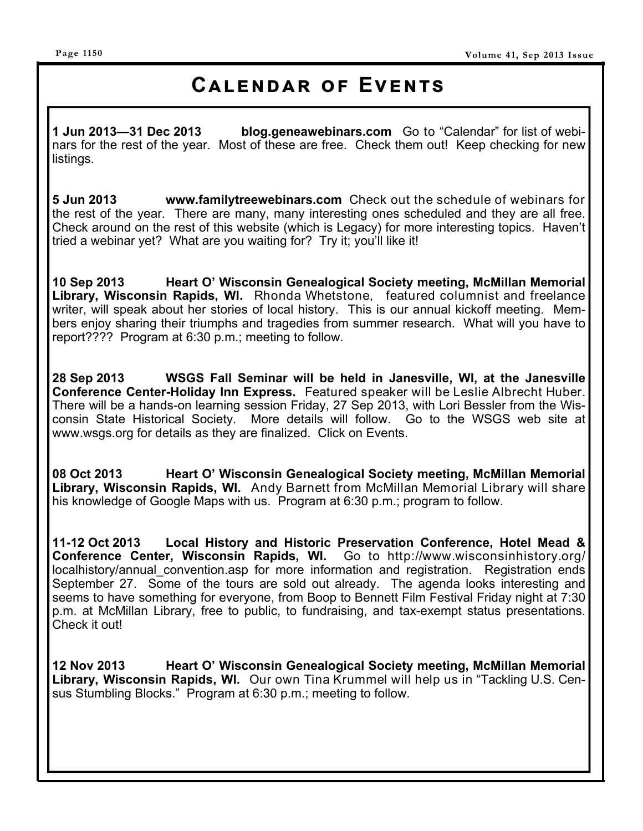## **CALENDAR OF EVENTS**

**1 Jun 2013—31 Dec 2013 blog.geneawebinars.com** Go to "Calendar" for list of webinars for the rest of the year. Most of these are free. Check them out! Keep checking for new listings.

**5 Jun 2013 www.familytreewebinars.com** Check out the schedule of webinars for the rest of the year. There are many, many interesting ones scheduled and they are all free. Check around on the rest of this website (which is Legacy) for more interesting topics. Haven't tried a webinar yet? What are you waiting for? Try it; you'll like it!

**10 Sep 2013 Heart O' Wisconsin Genealogical Society meeting, McMillan Memorial Library, Wisconsin Rapids, WI.** Rhonda Whetstone, featured columnist and freelance writer, will speak about her stories of local history. This is our annual kickoff meeting. Members enjoy sharing their triumphs and tragedies from summer research. What will you have to report???? Program at 6:30 p.m.; meeting to follow.

**28 Sep 2013 WSGS Fall Seminar will be held in Janesville, WI, at the Janesville Conference Center-Holiday Inn Express.** Featured speaker will be Leslie Albrecht Huber. There will be a hands-on learning session Friday, 27 Sep 2013, with Lori Bessler from the Wisconsin State Historical Society. More details will follow. Go to the WSGS web site at www.wsgs.org for details as they are finalized. Click on Events.

**08 Oct 2013 Heart O' Wisconsin Genealogical Society meeting, McMillan Memorial Library, Wisconsin Rapids, WI.** Andy Barnett from McMillan Memorial Library will share his knowledge of Google Maps with us. Program at 6:30 p.m.; program to follow.

**11-12 Oct 2013 Local History and Historic Preservation Conference, Hotel Mead & Conference Center, Wisconsin Rapids, WI.** Go to http://www.wisconsinhistory.org/ localhistory/annual convention.asp for more information and registration. Registration ends September 27. Some of the tours are sold out already. The agenda looks interesting and seems to have something for everyone, from Boop to Bennett Film Festival Friday night at 7:30 p.m. at McMillan Library, free to public, to fundraising, and tax-exempt status presentations. Check it out!

**12 Nov 2013 Heart O' Wisconsin Genealogical Society meeting, McMillan Memorial Library, Wisconsin Rapids, WI.** Our own Tina Krummel will help us in "Tackling U.S. Census Stumbling Blocks." Program at 6:30 p.m.; meeting to follow.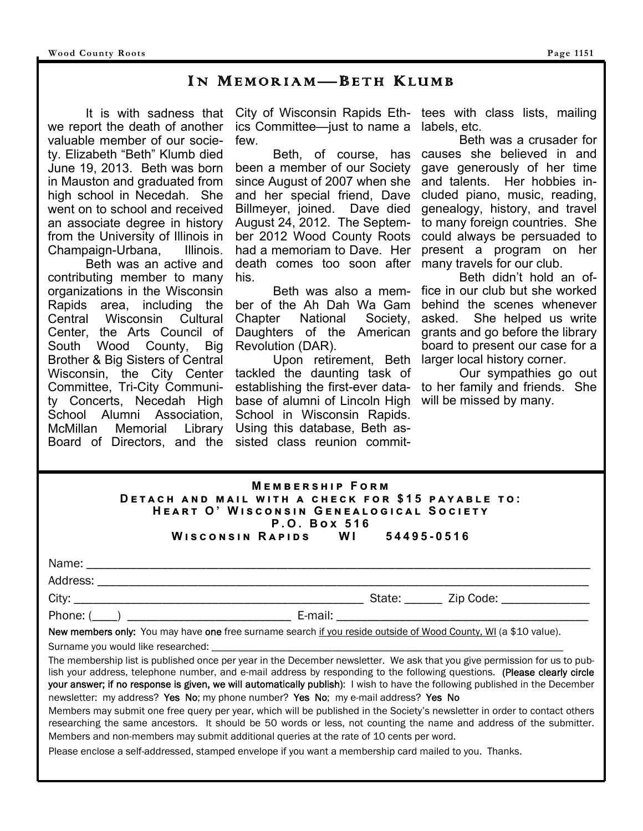## I N MEMORIAM— BETH KLUMB

 It is with sadness that we report the death of another valuable member of our society. Elizabeth "Beth" Klumb died June 19, 2013. Beth was born in Mauston and graduated from high school in Necedah. She went on to school and received an associate degree in history from the University of Illinois in<br>Champaign-Urbana. Illinois. Champaign-Urbana,

 Beth was an active and contributing member to many organizations in the Wisconsin Rapids area, including the Central Wisconsin Cultural Center, the Arts Council of South Wood County, Big Brother & Big Sisters of Central Wisconsin, the City Center Committee, Tri-City Community Concerts, Necedah High School Alumni Association, McMillan Memorial Library Board of Directors, and the

ics Committee—just to name a few.

 Beth, of course, has been a member of our Society since August of 2007 when she and her special friend, Dave Billmeyer, joined. Dave died August 24, 2012. The September 2012 Wood County Roots had a memoriam to Dave. Her death comes too soon after his.

 Beth was also a member of the Ah Dah Wa Gam Chapter National Society, Daughters of the American Revolution (DAR).

 Upon retirement, Beth tackled the daunting task of establishing the first-ever database of alumni of Lincoln High School in Wisconsin Rapids. Using this database, Beth assisted class reunion commit-

City of Wisconsin Rapids Eth-tees with class lists, mailing labels, etc.

> Beth was a crusader for causes she believed in and gave generously of her time and talents. Her hobbies included piano, music, reading, genealogy, history, and travel to many foreign countries. She could always be persuaded to present a program on her many travels for our club.

> Beth didn't hold an office in our club but she worked behind the scenes whenever asked. She helped us write grants and go before the library board to present our case for a larger local history corner.

> Our sympathies go out to her family and friends. She will be missed by many.

| <b>MEMBERSHIP FORM</b>                            |  |            |  |  |  |  |
|---------------------------------------------------|--|------------|--|--|--|--|
| DETACH AND MAIL WITH A CHECK FOR \$15 PAYABLE TO: |  |            |  |  |  |  |
| HEART O' WISCONSIN GENEALOGICAL SOCIETY           |  |            |  |  |  |  |
| P.O. Box 516                                      |  |            |  |  |  |  |
| WISCONSIN RAPIDS WI                               |  | 54495-0516 |  |  |  |  |

| Name:    |         |                                       |
|----------|---------|---------------------------------------|
| Address: |         |                                       |
| City:    |         | State: ______ Zip Code: _____________ |
| Phone: ( | E-mail: |                                       |

New members only: You may have one free surname search if you reside outside of Wood County, WI (a \$10 value).

Surname you would like researched: \_

The membership list is published once per year in the December newsletter. We ask that you give permission for us to publish your address, telephone number, and e-mail address by responding to the following questions. (Please clearly circle your answer; if no response is given, we will automatically publish): I wish to have the following published in the December newsletter: my address? Yes No; my phone number? Yes No; my e-mail address? Yes No

Members may submit one free query per year, which will be published in the Society's newsletter in order to contact others researching the same ancestors. It should be 50 words or less, not counting the name and address of the submitter. Members and non-members may submit additional queries at the rate of 10 cents per word.

Please enclose a self-addressed, stamped envelope if you want a membership card mailed to you. Thanks.